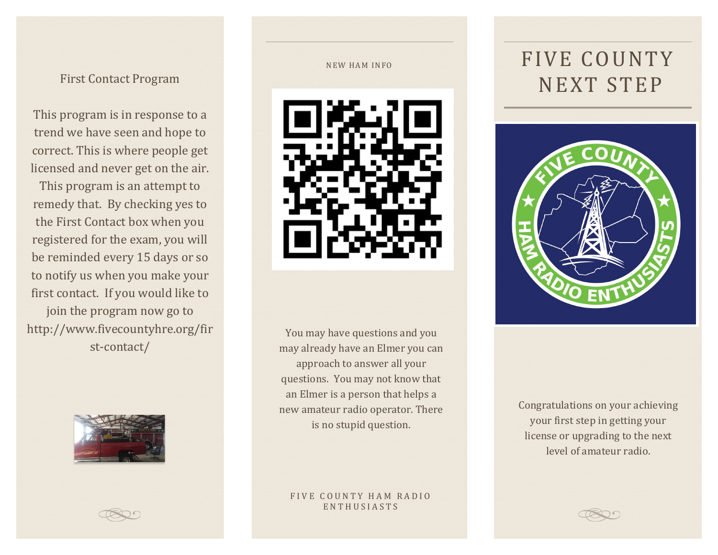This program is in response to a trend we have seen and hope to correct. This is where people get licensed and never get on the air.

This program is an attempt to remedy that. By checking yes to the First Contact box when you registered for the exam, you will be reminded every 15 days or so to notify us when you make your first contact. If you would like to join the program now go to http://www.fivecountyhre.org/fir st-contact/



#### NEW HAM INFO



You may have questions and you may already have an Elmer you can approach to answer all your questions. You may not know that an Elmer is a person that helps a new amateur radio operator. There is no stupid question.

### FIVE COUNTY HAM RADIO ENTHUSIASTS

# FIVE COUNTY First Contact Program NEXT STEP



Congratulations on your achieving your first step in getting your license or upgrading to the next level of amateur radio.